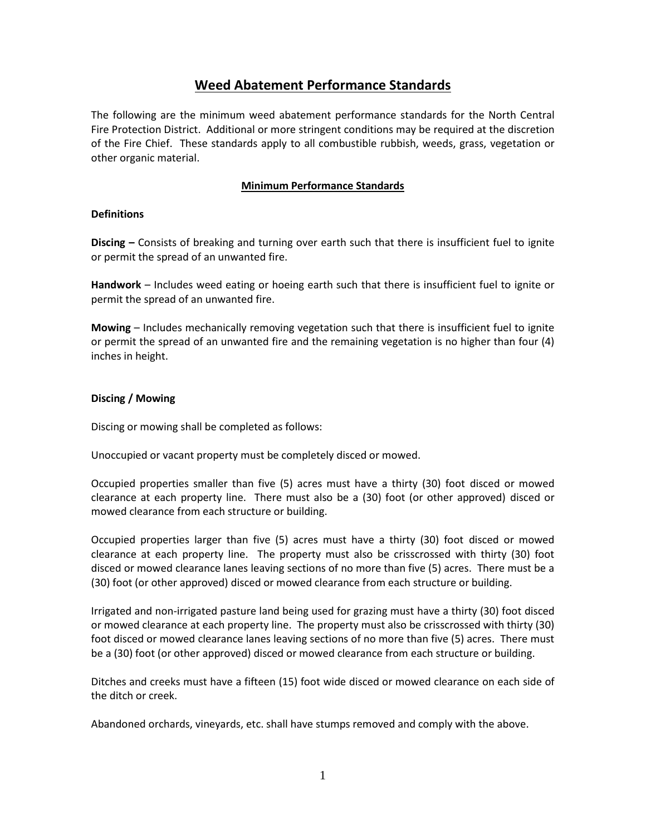# **Weed Abatement Performance Standards**

The following are the minimum weed abatement performance standards for the North Central Fire Protection District. Additional or more stringent conditions may be required at the discretion of the Fire Chief. These standards apply to all combustible rubbish, weeds, grass, vegetation or other organic material.

## **Minimum Performance Standards**

## **Definitions**

**Discing –** Consists of breaking and turning over earth such that there is insufficient fuel to ignite or permit the spread of an unwanted fire.

**Handwork** – Includes weed eating or hoeing earth such that there is insufficient fuel to ignite or permit the spread of an unwanted fire.

**Mowing** – Includes mechanically removing vegetation such that there is insufficient fuel to ignite or permit the spread of an unwanted fire and the remaining vegetation is no higher than four (4) inches in height.

## **Discing / Mowing**

Discing or mowing shall be completed as follows:

Unoccupied or vacant property must be completely disced or mowed.

Occupied properties smaller than five (5) acres must have a thirty (30) foot disced or mowed clearance at each property line. There must also be a (30) foot (or other approved) disced or mowed clearance from each structure or building.

Occupied properties larger than five (5) acres must have a thirty (30) foot disced or mowed clearance at each property line. The property must also be crisscrossed with thirty (30) foot disced or mowed clearance lanes leaving sections of no more than five (5) acres. There must be a (30) foot (or other approved) disced or mowed clearance from each structure or building.

Irrigated and non-irrigated pasture land being used for grazing must have a thirty (30) foot disced or mowed clearance at each property line. The property must also be crisscrossed with thirty (30) foot disced or mowed clearance lanes leaving sections of no more than five (5) acres. There must be a (30) foot (or other approved) disced or mowed clearance from each structure or building.

Ditches and creeks must have a fifteen (15) foot wide disced or mowed clearance on each side of the ditch or creek.

Abandoned orchards, vineyards, etc. shall have stumps removed and comply with the above.